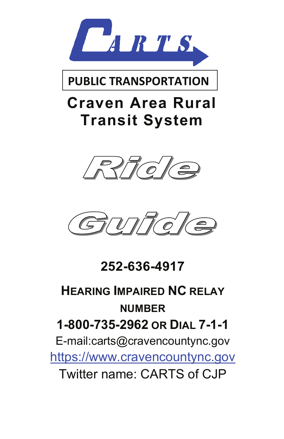

#### **PUBLIC TRANSPORTATION**

# **Craven Area Rural Transit System**





**252-636-4917**

# **HEARING IMPAIRED NC RELAY NUMBER 1-800-735-2962 OR DIAL 7-1-1** E-mail:carts@cravencountync.gov https://www.cravencountync.gov

Twitter name: CARTS of CJP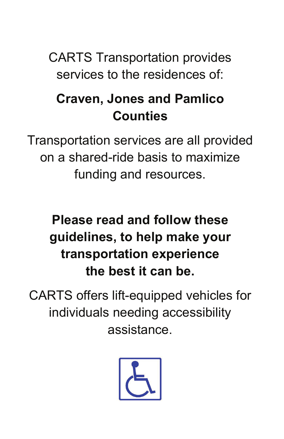CARTS Transportation provides services to the residences of:

## **Craven, Jones and Pamlico Counties**

Transportation services are all provided on a shared-ride basis to maximize funding and resources.

## **Please read and follow these guidelines, to help make your transportation experience the best it can be.**

CARTS offers lift-equipped vehicles for individuals needing accessibility assistance.

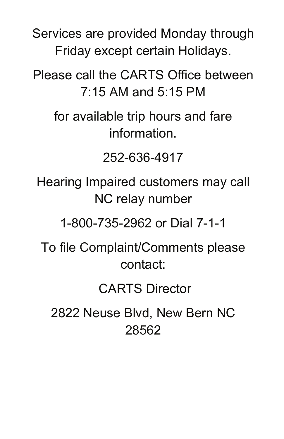Services are provided Monday through Friday except certain Holidays.

Please call the CARTS Office between 7:15 AM and 5:15 PM

for available trip hours and fare information.

252-636-4917

Hearing Impaired customers may call NC relay number

1-800-735-2962 or Dial 7-1-1

To file Complaint/Comments please contact:

CARTS Director

2822 Neuse Blvd, New Bern NC 28562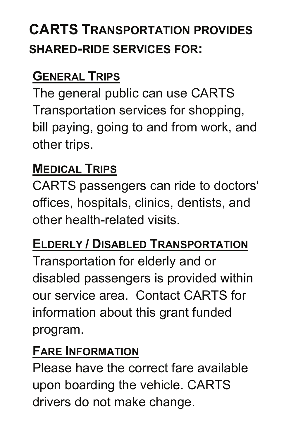# **CARTS TRANSPORTATION PROVIDES SHARED-RIDE SERVICES FOR:**

#### **GENERAL TRIPS**

The general public can use CARTS Transportation services for shopping, bill paying, going to and from work, and other trips.

#### **MEDICAL TRIPS**

CARTS passengers can ride to doctors' offices, hospitals, clinics, dentists, and other health-related visits.

#### **ELDERLY / DISABLED TRANSPORTATION**

Transportation for elderly and or disabled passengers is provided within our service area. Contact CARTS for information about this grant funded program.

#### **FARE INFORMATION**

Please have the correct fare available upon boarding the vehicle. CARTS drivers do not make change.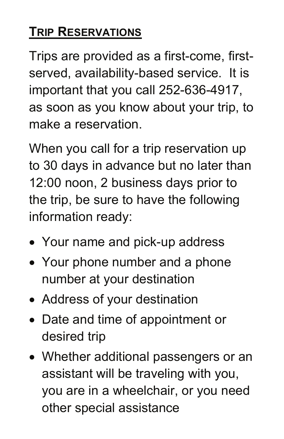# $\overline{\textbf{T}}$  **RIP**  $\overline{\textbf{R}}$  **RESERVATIONS**

Trips are provided as a first-come, firstserved, availability-based service. It is important that you call 252-636-4917, for a get  $f$  and  $f$  and  $f$  and  $f$  and  $f$  and  $f$  $\sum_{i=1}^{n}$ as soon as you know about your trip, to make a reservation.

 $252-52$ 12:00 noon, 2 business days prior to the trip, be sure to have the following ialion ready. When you call for a trip reservation up to 30 days in advance but no later than information ready:

- Your name and pick-up address
- Your phone number and a phone number at your destination
- gen neemanned<br>c • Address of your destination
- Date and time of appointment or 28562 desired trip
- Whether additional passengers or an assistant will be traveling with you, you are in a wheelchair, or you need other special assistance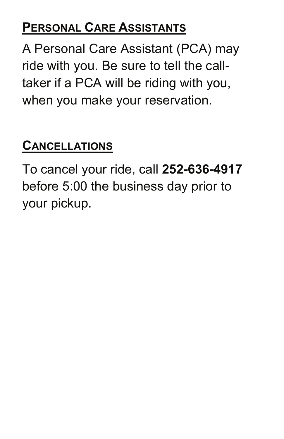### **PERSONAL CARE ASSISTANTS**

A Personal Care Assistant (PCA) may ride with you. Be sure to tell the calltaker if a PCA will be riding with you, when you make your reservation.

### **CANCELLATIONS**

To cancel your ride, call **252-636-4917** before 5:00 the business day prior to your pickup.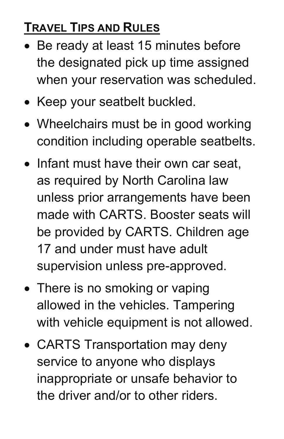### **TRAVEL TIPS AND RULES**

- Be ready at least 15 minutes before the designated pick up time assigned when your reservation was scheduled.
- Keep your seatbelt buckled.
- Wheelchairs must be in good working condition including operable seatbelts.
- Infant must have their own car seat, as required by North Carolina law unless prior arrangements have been made with CARTS. Booster seats will be provided by CARTS. Children age 17 and under must have adult supervision unless pre-approved.
- There is no smoking or vaping allowed in the vehicles. Tampering with vehicle equipment is not allowed.
- CARTS Transportation may deny service to anyone who displays inappropriate or unsafe behavior to the driver and/or to other riders.